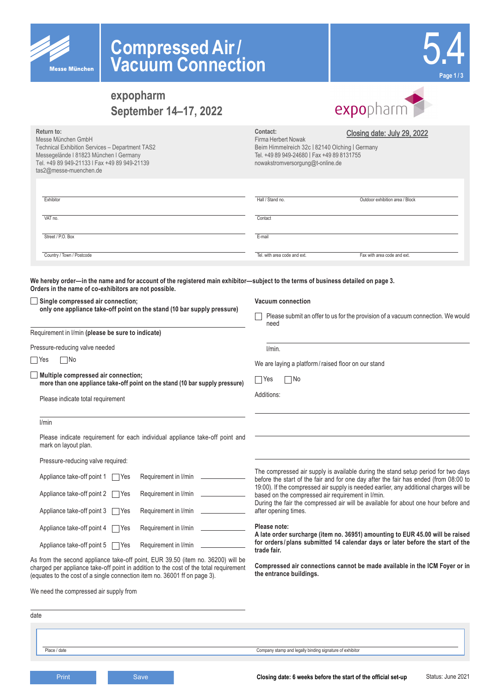

# **Compressed Air/ Vacuum Connection**

| Page 1/3 |
|----------|

 $\mathcal{L}$ 

## **expopharm September 14–17, 2022**

| expopharm |  |
|-----------|--|

| Messe München GmbH<br>Technical Exhibition Services - Department TAS2<br>Messegelände I 81823 München I Germany<br>Tel. +49 89 949-21133   Fax +49 89 949-21139<br>tas2@messe-muenchen.de | Contact:<br>Firma Herbert Nowak<br>Beim Himmelreich 32c   82140 Olching   Germany<br>Tel. +49 89 949-24680   Fax +49 89 8131755<br>nowakstromversorgung@t-online.de | Closing date: July 29, 2022                                                     |
|-------------------------------------------------------------------------------------------------------------------------------------------------------------------------------------------|---------------------------------------------------------------------------------------------------------------------------------------------------------------------|---------------------------------------------------------------------------------|
| Exhibitor                                                                                                                                                                                 | Hall / Stand no.                                                                                                                                                    | Outdoor exhibition area / Block                                                 |
| VAT no.                                                                                                                                                                                   | Contact                                                                                                                                                             |                                                                                 |
| Street / P.O. Box                                                                                                                                                                         | E-mail                                                                                                                                                              |                                                                                 |
| Country / Town / Postcode                                                                                                                                                                 | Tel, with area code and ext.                                                                                                                                        | Fax with area code and ext.                                                     |
| We hereby order—in the name and for account of the registered main exhibitor—subject to the terms of business detailed on page 3.                                                         |                                                                                                                                                                     |                                                                                 |
| Orders in the name of co-exhibitors are not possible.<br>Single compressed air connection;<br>only one appliance take-off point on the stand (10 bar supply pressure)                     | Vacuum connection<br>need                                                                                                                                           | Please submit an offer to us for the provision of a vacuum connection. We would |
| Requirement in I/min (please be sure to indicate)                                                                                                                                         |                                                                                                                                                                     |                                                                                 |
| Pressure-reducing valve needed                                                                                                                                                            | I/min.                                                                                                                                                              |                                                                                 |
| ∏No<br>  Yes                                                                                                                                                                              | We are laying a platform/raised floor on our stand                                                                                                                  |                                                                                 |
| Multiple compressed air connection;<br>more than one appliance take-off point on the stand (10 bar supply pressure)                                                                       | No<br>$\sqcap$ Yes                                                                                                                                                  |                                                                                 |
| Please indicate total requirement                                                                                                                                                         | Additions:                                                                                                                                                          |                                                                                 |

Please indicate requirement for each individual appliance take-off point and mark on layout plan.

Pressure-reducing valve required:

| Appliance take-off point $1 \cap Yes$ | Requirement in I/min |
|---------------------------------------|----------------------|
| Appliance take-off point 2     Yes    | Requirement in I/min |
| Appliance take-off point 3     Yes    | Requirement in I/min |
| Appliance take-off point $4 \Box$ Yes | Requirement in I/min |
| Appliance take-off point 5<br>  Yes   | Requirement in I/min |

As from the second appliance take-off point, EUR 39.50 (item no. 36200) will be charged per appliance take-off point in addition to the cost of the total requirement (equates to the cost of a single connection item no. 36001 ff on page 3).

We need the compressed air supply from

The compressed air supply is available during the stand setup period for two days before the start of the fair and for one day after the fair has ended (from 08:00 to 19:00). If the compressed air supply is needed earlier, any additional charges will be based on the compressed air requirement in l/min.

During the fair the compressed air will be available for about one hour before and after opening times.

**Please note:**

**A late order surcharge (item no. 36951) amounting to EUR 45.00 will be raised for orders /plans submitted 14 calendar days or later before the start of the trade fair.**

**Compressed air connections cannot be made available in the ICM Foyer or in the entrance buildings.**

| date |              |                                                          |  |
|------|--------------|----------------------------------------------------------|--|
|      |              |                                                          |  |
|      | Place / date | Company stamp and legally binding signature of exhibitor |  |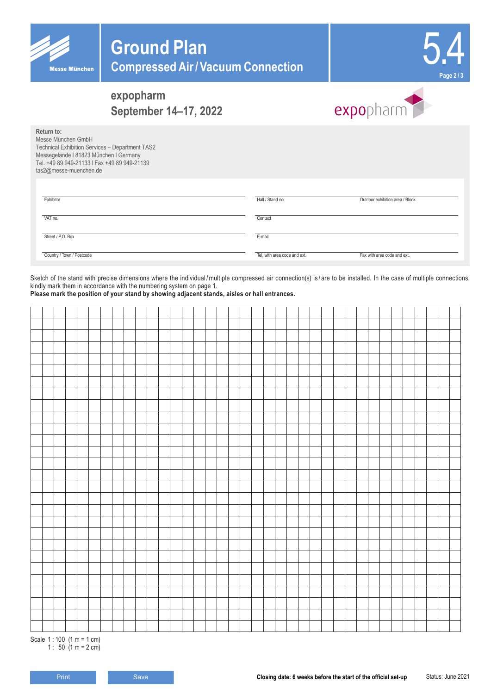



### **expopharm September 14–17, 2022**



**Return to:** Messe München GmbH Technical Exhibition Services – Department TAS2 Messegelände l 81823 München l Germany Tel. +49 89 949-21133 l Fax +49 89 949-21139

tas2@messe-muenchen.de

| Exhibitor                 | Hall / Stand no.             | Outdoor exhibition area / Block |
|---------------------------|------------------------------|---------------------------------|
| VAT no.                   | Contact                      |                                 |
| Street / P.O. Box         | E-mail                       |                                 |
| Country / Town / Postcode | Tel, with area code and ext. | Fax with area code and ext.     |

Sketch of the stand with precise dimensions where the individual/multiple compressed air connection(s) is/are to be installed. In the case of multiple connections, kindly mark them in accordance with the numbering system on page 1.

**Please mark the position of your stand by showing adjacent stands, aisles or hall entrances.**

Scale 1 : 100 (1 m = 1 cm) 1 : 50  $(1 m = 2 cm)$